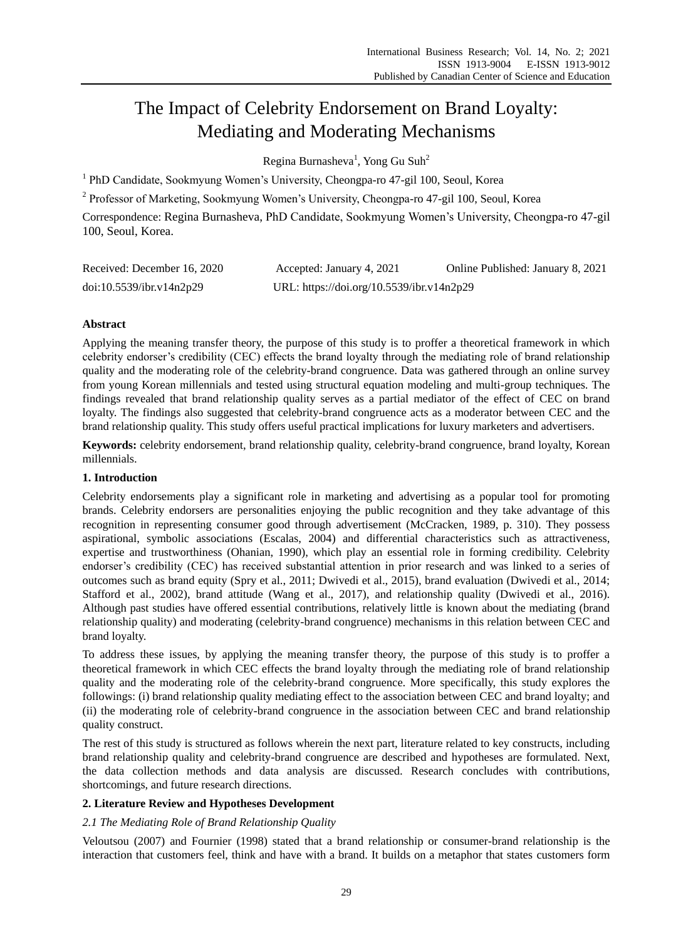# The Impact of Celebrity Endorsement on Brand Loyalty: Mediating and Moderating Mechanisms

Regina Burnasheva<sup>1</sup>, Yong Gu Suh<sup>2</sup>

<sup>1</sup> PhD Candidate, Sookmyung Women's University, Cheongpa-ro 47-gil 100, Seoul, Korea

<sup>2</sup> Professor of Marketing, Sookmyung Women's University, Cheongpa-ro 47-gil 100, Seoul, Korea

Correspondence: Regina Burnasheva, PhD Candidate, Sookmyung Women's University, Cheongpa-ro 47-gil 100, Seoul, Korea.

| Received: December 16, 2020 | Accepted: January 4, 2021                 | Online Published: January 8, 2021 |
|-----------------------------|-------------------------------------------|-----------------------------------|
| doi:10.5539/ibr.v14n2p29    | URL: https://doi.org/10.5539/ibr.v14n2p29 |                                   |

# **Abstract**

Applying the meaning transfer theory, the purpose of this study is to proffer a theoretical framework in which celebrity endorser's credibility (CEC) effects the brand loyalty through the mediating role of brand relationship quality and the moderating role of the celebrity-brand congruence. Data was gathered through an online survey from young Korean millennials and tested using structural equation modeling and multi-group techniques. The findings revealed that brand relationship quality serves as a partial mediator of the effect of CEC on brand loyalty. The findings also suggested that celebrity-brand congruence acts as a moderator between CEC and the brand relationship quality. This study offers useful practical implications for luxury marketers and advertisers.

**Keywords:** celebrity endorsement, brand relationship quality, celebrity-brand congruence, brand loyalty, Korean millennials.

# **1. Introduction**

Celebrity endorsements play a significant role in marketing and advertising as a popular tool for promoting brands. Celebrity endorsers are personalities enjoying the public recognition and they take advantage of this recognition in representing consumer good through advertisement (McCracken, 1989, p. 310). They possess aspirational, symbolic associations (Escalas, 2004) and differential characteristics such as attractiveness, expertise and trustworthiness (Ohanian, 1990), which play an essential role in forming credibility. Celebrity endorser's credibility (CEC) has received substantial attention in prior research and was linked to a series of outcomes such as brand equity (Spry et al., 2011; Dwivedi et al., 2015), brand evaluation (Dwivedi et al., 2014; Stafford et al., 2002), brand attitude (Wang et al., 2017), and relationship quality (Dwivedi et al., 2016). Although past studies have offered essential contributions, relatively little is known about the mediating (brand relationship quality) and moderating (celebrity-brand congruence) mechanisms in this relation between CEC and brand loyalty.

To address these issues, by applying the meaning transfer theory, the purpose of this study is to proffer a theoretical framework in which CEC effects the brand loyalty through the mediating role of brand relationship quality and the moderating role of the celebrity-brand congruence. More specifically, this study explores the followings: (i) brand relationship quality mediating effect to the association between CEC and brand loyalty; and (ii) the moderating role of celebrity-brand congruence in the association between CEC and brand relationship quality construct.

The rest of this study is structured as follows wherein the next part, literature related to key constructs, including brand relationship quality and celebrity-brand congruence are described and hypotheses are formulated. Next, the data collection methods and data analysis are discussed. Research concludes with contributions, shortcomings, and future research directions.

# **2. Literature Review and Hypotheses Development**

# *2.1 The Mediating Role of Brand Relationship Quality*

Veloutsou (2007) and Fournier (1998) stated that a brand relationship or consumer-brand relationship is the interaction that customers feel, think and have with a brand. It builds on a metaphor that states customers form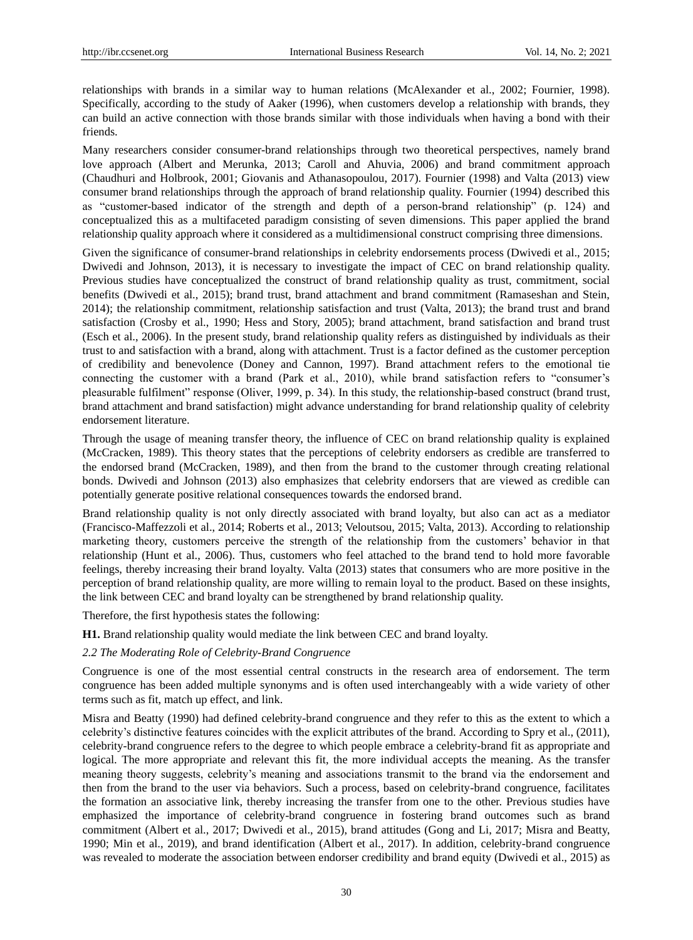relationships with brands in a similar way to human relations (McAlexander et al., 2002; Fournier, 1998). Specifically, according to the study of Aaker (1996), when customers develop a relationship with brands, they can build an active connection with those brands similar with those individuals when having a bond with their friends.

Many researchers consider consumer-brand relationships through two theoretical perspectives, namely brand love approach (Albert and Merunka, 2013; Caroll and Ahuvia, 2006) and brand commitment approach (Chaudhuri and Holbrook, 2001; Giovanis and Athanasopoulou, 2017). Fournier (1998) and Valta (2013) view consumer brand relationships through the approach of brand relationship quality. Fournier (1994) described this as "customer-based indicator of the strength and depth of a person-brand relationship" (p. 124) and conceptualized this as a multifaceted paradigm consisting of seven dimensions. This paper applied the brand relationship quality approach where it considered as a multidimensional construct comprising three dimensions.

Given the significance of consumer-brand relationships in celebrity endorsements process (Dwivedi et al., 2015; Dwivedi and Johnson, 2013), it is necessary to investigate the impact of CEC on brand relationship quality. Previous studies have conceptualized the construct of brand relationship quality as trust, commitment, social benefits (Dwivedi et al., 2015); brand trust, brand attachment and brand commitment (Ramaseshan and Stein, 2014); the relationship commitment, relationship satisfaction and trust (Valta, 2013); the brand trust and brand satisfaction (Crosby et al., 1990; Hess and Story, 2005); brand attachment, brand satisfaction and brand trust (Esch et al., 2006). In the present study, brand relationship quality refers as distinguished by individuals as their trust to and satisfaction with a brand, along with attachment. Trust is a factor defined as the customer perception of credibility and benevolence (Doney and Cannon, 1997). Brand attachment refers to the emotional tie connecting the customer with a brand (Park et al., 2010), while brand satisfaction refers to "consumer's pleasurable fulfilment" response (Oliver, 1999, p. 34). In this study, the relationship-based construct (brand trust, brand attachment and brand satisfaction) might advance understanding for brand relationship quality of celebrity endorsement literature.

Through the usage of meaning transfer theory, the influence of CEC on brand relationship quality is explained (McCracken, 1989). This theory states that the perceptions of celebrity endorsers as credible are transferred to the endorsed brand (McCracken, 1989), and then from the brand to the customer through creating relational bonds. Dwivedi and Johnson (2013) also emphasizes that celebrity endorsers that are viewed as credible can potentially generate positive relational consequences towards the endorsed brand.

Brand relationship quality is not only directly associated with brand loyalty, but also can act as a mediator (Francisco-Maffezzoli et al., 2014; Roberts et al., 2013; Veloutsou, 2015; Valta, 2013). According to relationship marketing theory, customers perceive the strength of the relationship from the customers' behavior in that relationship (Hunt et al., 2006). Thus, customers who feel attached to the brand tend to hold more favorable feelings, thereby increasing their brand loyalty. Valta (2013) states that consumers who are more positive in the perception of brand relationship quality, are more willing to remain loyal to the product. Based on these insights, the link between CEC and brand loyalty can be strengthened by brand relationship quality.

Therefore, the first hypothesis states the following:

**H1.** Brand relationship quality would mediate the link between CEC and brand loyalty.

## *2.2 The Moderating Role of Celebrity-Brand Congruence*

Congruence is one of the most essential central constructs in the research area of endorsement. The term congruence has been added multiple synonyms and is often used interchangeably with a wide variety of other terms such as fit, match up effect, and link.

Misra and Beatty (1990) had defined celebrity-brand congruence and they refer to this as the extent to which a celebrity's distinctive features coincides with the explicit attributes of the brand. According to Spry et al., (2011), celebrity-brand congruence refers to the degree to which people embrace a celebrity-brand fit as appropriate and logical. The more appropriate and relevant this fit, the more individual accepts the meaning. As the transfer meaning theory suggests, celebrity's meaning and associations transmit to the brand via the endorsement and then from the brand to the user via behaviors. Such a process, based on celebrity-brand congruence, facilitates the formation an associative link, thereby increasing the transfer from one to the other. Previous studies have emphasized the importance of celebrity-brand congruence in fostering brand outcomes such as brand commitment (Albert et al., 2017; Dwivedi et al., 2015), brand attitudes (Gong and Li, 2017; Misra and Beatty, 1990; Min et al., 2019), and brand identification (Albert et al., 2017). In addition, celebrity-brand congruence was revealed to moderate the association between endorser credibility and brand equity (Dwivedi et al., 2015) as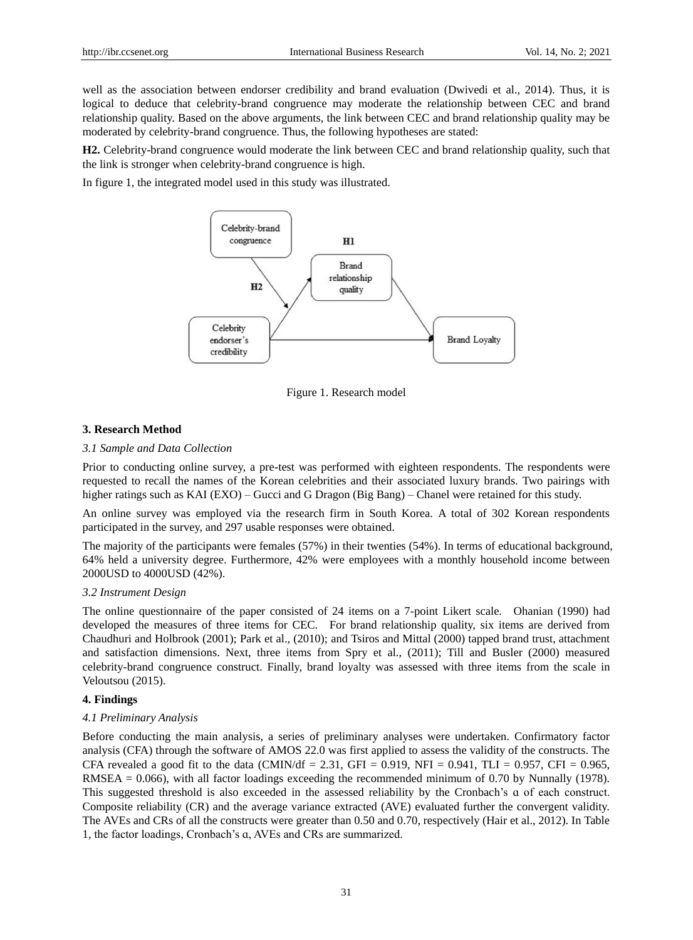well as the association between endorser credibility and brand evaluation (Dwivedi et al., 2014). Thus, it is logical to deduce that celebrity-brand congruence may moderate the relationship between CEC and brand relationship quality. Based on the above arguments, the link between CEC and brand relationship quality may be moderated by celebrity-brand congruence. Thus, the following hypotheses are stated:

**H2.** Celebrity-brand congruence would moderate the link between CEC and brand relationship quality, such that the link is stronger when celebrity-brand congruence is high.

In figure 1, the integrated model used in this study was illustrated.



Figure 1. Research model

## **3. Research Method**

#### *3.1 Sample and Data Collection*

Prior to conducting online survey, a pre-test was performed with eighteen respondents. The respondents were requested to recall the names of the Korean celebrities and their associated luxury brands. Two pairings with higher ratings such as KAI (EXO) – Gucci and G Dragon (Big Bang) – Chanel were retained for this study.

An online survey was employed via the research firm in South Korea. A total of 302 Korean respondents participated in the survey, and 297 usable responses were obtained.

The majority of the participants were females (57%) in their twenties (54%). In terms of educational background, 64% held a university degree. Furthermore, 42% were employees with a monthly household income between 2000USD to 4000USD (42%).

## *3.2 Instrument Design*

The online questionnaire of the paper consisted of 24 items on a 7-point Likert scale. Ohanian (1990) had developed the measures of three items for CEC. For brand relationship quality, six items are derived from Chaudhuri and Holbrook (2001); Park et al., (2010); and Tsiros and Mittal (2000) tapped brand trust, attachment and satisfaction dimensions. Next, three items from Spry et al., (2011); Till and Busler (2000) measured celebrity-brand congruence construct. Finally, brand loyalty was assessed with three items from the scale in Veloutsou (2015).

## **4. Findings**

#### *4.1 Preliminary Analysis*

Before conducting the main analysis, a series of preliminary analyses were undertaken. Confirmatory factor analysis (CFA) through the software of AMOS 22.0 was first applied to assess the validity of the constructs. The CFA revealed a good fit to the data (CMIN/df = 2.31, GFI = 0.919, NFI = 0.941, TLI = 0.957, CFI = 0.965, RMSEA = 0.066), with all factor loadings exceeding the recommended minimum of 0.70 by Nunnally (1978). This suggested threshold is also exceeded in the assessed reliability by the Cronbach's ɑ of each construct. Composite reliability (CR) and the average variance extracted (AVE) evaluated further the convergent validity. The AVEs and CRs of all the constructs were greater than 0.50 and 0.70, respectively (Hair et al., 2012). In Table 1, the factor loadings, Cronbach's ɑ, AVEs and CRs are summarized.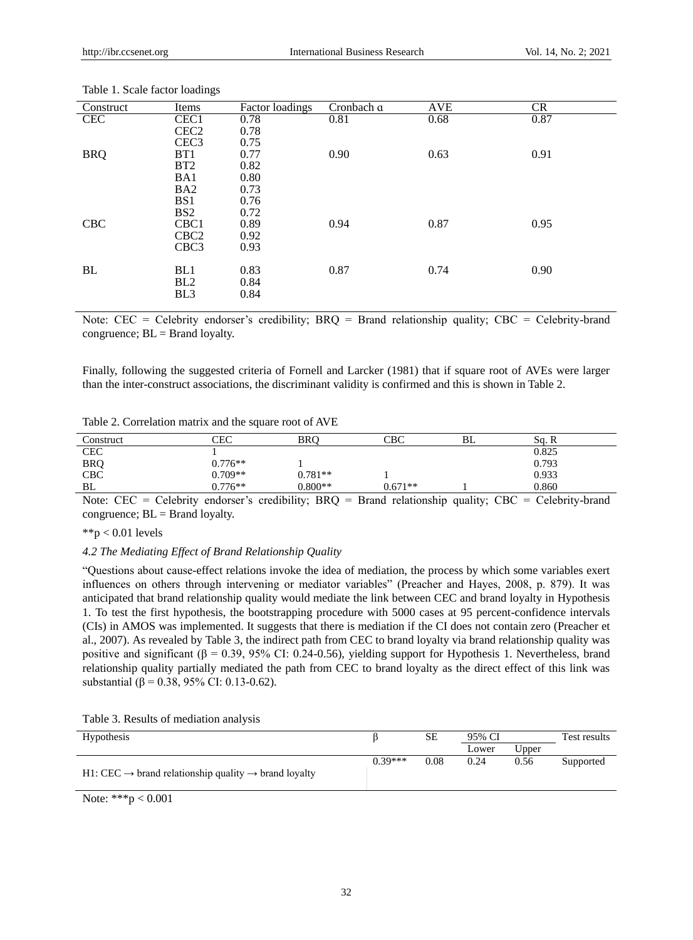| Construct  | Items            | Factor loadings | Cronbach a | <b>AVE</b> | <b>CR</b> |
|------------|------------------|-----------------|------------|------------|-----------|
| <b>CEC</b> | CEC <sub>1</sub> | 0.78            | 0.81       | 0.68       | 0.87      |
|            | CEC <sub>2</sub> | 0.78            |            |            |           |
|            | CEC <sub>3</sub> | 0.75            |            |            |           |
| <b>BRQ</b> | BT1              | 0.77            | 0.90       | 0.63       | 0.91      |
|            | BT2              | 0.82            |            |            |           |
|            | BA1              | 0.80            |            |            |           |
|            | BA <sub>2</sub>  | 0.73            |            |            |           |
|            | BS <sub>1</sub>  | 0.76            |            |            |           |
|            | BS <sub>2</sub>  | 0.72            |            |            |           |
| <b>CBC</b> | CBC <sub>1</sub> | 0.89            | 0.94       | 0.87       | 0.95      |
|            | CBC <sub>2</sub> | 0.92            |            |            |           |
|            | CBC <sub>3</sub> | 0.93            |            |            |           |
|            |                  |                 |            |            |           |
| BL         | BL1              | 0.83            | 0.87       | 0.74       | 0.90      |
|            | BL2              | 0.84            |            |            |           |
|            | BL <sub>3</sub>  | 0.84            |            |            |           |
|            |                  |                 |            |            |           |

Table 1. Scale factor loadings

Note: CEC = Celebrity endorser's credibility; BRQ = Brand relationship quality; CBC = Celebrity-brand congruence;  $BL = Brand$  loyalty.

Finally, following the suggested criteria of Fornell and Larcker (1981) that if square root of AVEs were larger than the inter-construct associations, the discriminant validity is confirmed and this is shown in Table 2.

| Construct         | CEC       | <b>BRO</b> | CBC       | BL | Sq. R |
|-------------------|-----------|------------|-----------|----|-------|
| <b>CEC</b>        |           |            |           |    | 0.825 |
| <b>BRQ</b><br>CBC | $0.776**$ |            |           |    | 0.793 |
|                   | $0.709**$ | $0.781**$  |           |    | 0.933 |
| BL                | $0.776**$ | $0.800**$  | $0.671**$ |    | 0.860 |

Note: CEC = Celebrity endorser's credibility; BRQ = Brand relationship quality; CBC = Celebrity-brand congruence;  $BL = Brand$  loyalty.

 $*$  $p$  < 0.01 levels

## *4.2 The Mediating Effect of Brand Relationship Quality*

"Questions about cause-effect relations invoke the idea of mediation, the process by which some variables exert influences on others through intervening or mediator variables" (Preacher and Hayes, 2008, p. 879). It was anticipated that brand relationship quality would mediate the link between CEC and brand loyalty in Hypothesis 1. To test the first hypothesis, the bootstrapping procedure with 5000 cases at 95 percent-confidence intervals (CIs) in AMOS was implemented. It suggests that there is mediation if the CI does not contain zero (Preacher et al., 2007). As revealed by Table 3, the indirect path from CEC to brand loyalty via brand relationship quality was positive and significant ( $\beta = 0.39$ , 95% CI: 0.24-0.56), yielding support for Hypothesis 1. Nevertheless, brand relationship quality partially mediated the path from CEC to brand loyalty as the direct effect of this link was substantial ( $\beta$  = 0.38, 95% CI: 0.13-0.62).

Table 3. Results of mediation analysis

| Hypothesis                                                                   |           | <b>SE</b> | 95% CI |       | Test results |
|------------------------------------------------------------------------------|-----------|-----------|--------|-------|--------------|
|                                                                              |           |           | Lower  | Upper |              |
| H1: CEC $\rightarrow$ brand relationship quality $\rightarrow$ brand loyalty | $0.39***$ | 0.08      | 0.24   | 0.56  | Supported    |
|                                                                              |           |           |        |       |              |

Note: \*\*\*p < 0.001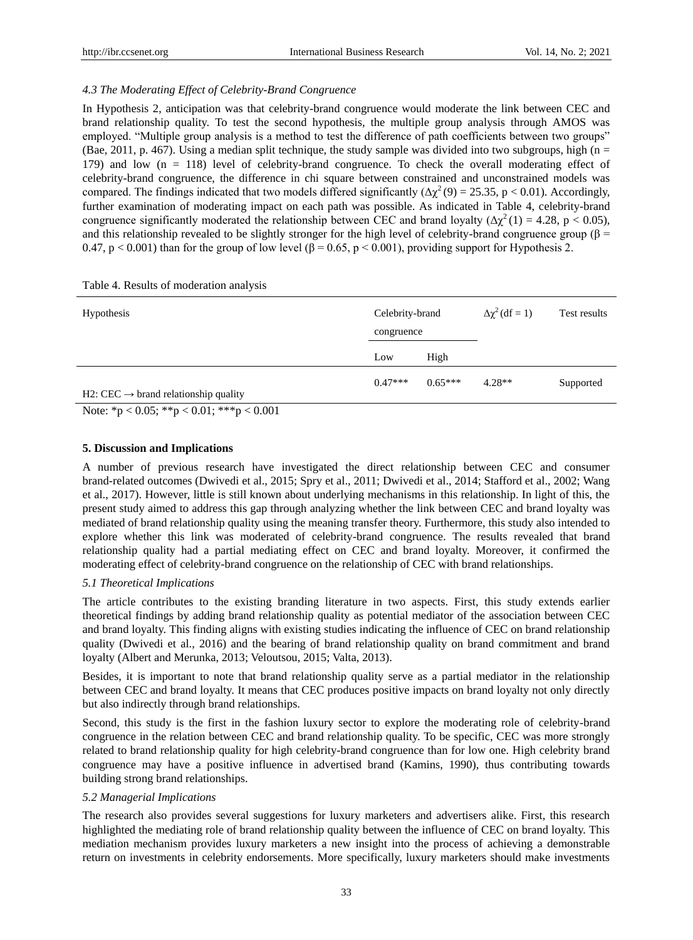## *4.3 The Moderating Effect of Celebrity-Brand Congruence*

In Hypothesis 2, anticipation was that celebrity-brand congruence would moderate the link between CEC and brand relationship quality. To test the second hypothesis, the multiple group analysis through AMOS was employed. "Multiple group analysis is a method to test the difference of path coefficients between two groups" (Bae, 2011, p. 467). Using a median split technique, the study sample was divided into two subgroups, high ( $n =$ 179) and low (n = 118) level of celebrity-brand congruence. To check the overall moderating effect of celebrity-brand congruence, the difference in chi square between constrained and unconstrained models was compared. The findings indicated that two models differed significantly  $(\Delta \chi^2(9) = 25.35, p < 0.01)$ . Accordingly, further examination of moderating impact on each path was possible. As indicated in Table 4, celebrity-brand congruence significantly moderated the relationship between CEC and brand loyalty ( $\Delta \chi^2(1) = 4.28$ , p < 0.05), and this relationship revealed to be slightly stronger for the high level of celebrity-brand congruence group ( $\beta$ 0.47, p < 0.001) than for the group of low level ( $\beta$  = 0.65, p < 0.001), providing support for Hypothesis 2.

| <b>Hypothesis</b>                                | Celebrity-brand<br>congruence |           | $\Delta \chi^2$ (df = 1) | Test results |
|--------------------------------------------------|-------------------------------|-----------|--------------------------|--------------|
|                                                  | Low                           | High      |                          |              |
| H2: $CEC \rightarrow brand$ relationship quality | $0.47***$                     | $0.65***$ | $4.28**$                 | Supported    |

Table 4. Results of moderation analysis

Note: \*p < 0.05; \*\*p < 0.01; \*\*\*p < 0.001

#### **5. Discussion and Implications**

A number of previous research have investigated the direct relationship between CEC and consumer brand-related outcomes (Dwivedi et al., 2015; Spry et al., 2011; Dwivedi et al., 2014; Stafford et al., 2002; Wang et al., 2017). However, little is still known about underlying mechanisms in this relationship. In light of this, the present study aimed to address this gap through analyzing whether the link between CEC and brand loyalty was mediated of brand relationship quality using the meaning transfer theory. Furthermore, this study also intended to explore whether this link was moderated of celebrity-brand congruence. The results revealed that brand relationship quality had a partial mediating effect on CEC and brand loyalty. Moreover, it confirmed the moderating effect of celebrity-brand congruence on the relationship of CEC with brand relationships.

## *5.1 Theoretical Implications*

The article contributes to the existing branding literature in two aspects. First, this study extends earlier theoretical findings by adding brand relationship quality as potential mediator of the association between CEC and brand loyalty. This finding aligns with existing studies indicating the influence of CEC on brand relationship quality (Dwivedi et al., 2016) and the bearing of brand relationship quality on brand commitment and brand loyalty (Albert and Merunka, 2013; Veloutsou, 2015; Valta, 2013).

Besides, it is important to note that brand relationship quality serve as a partial mediator in the relationship between CEC and brand loyalty. It means that CEC produces positive impacts on brand loyalty not only directly but also indirectly through brand relationships.

Second, this study is the first in the fashion luxury sector to explore the moderating role of celebrity-brand congruence in the relation between CEC and brand relationship quality. To be specific, CEC was more strongly related to brand relationship quality for high celebrity-brand congruence than for low one. High celebrity brand congruence may have a positive influence in advertised brand (Kamins, 1990), thus contributing towards building strong brand relationships.

#### *5.2 Managerial Implications*

The research also provides several suggestions for luxury marketers and advertisers alike. First, this research highlighted the mediating role of brand relationship quality between the influence of CEC on brand loyalty. This mediation mechanism provides luxury marketers a new insight into the process of achieving a demonstrable return on investments in celebrity endorsements. More specifically, luxury marketers should make investments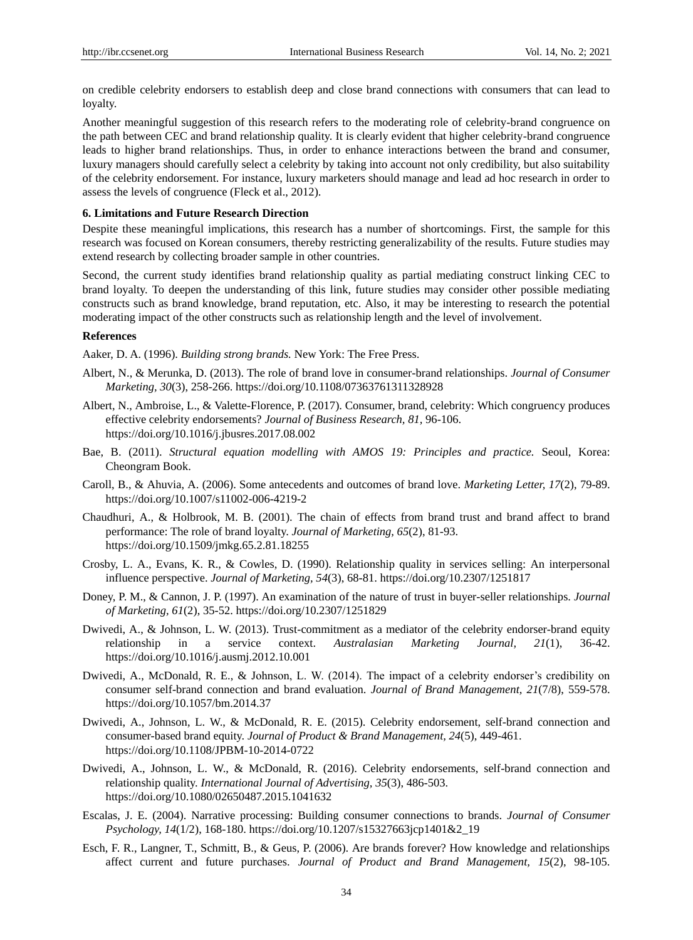on credible celebrity endorsers to establish deep and close brand connections with consumers that can lead to loyalty.

Another meaningful suggestion of this research refers to the moderating role of celebrity-brand congruence on the path between CEC and brand relationship quality. It is clearly evident that higher celebrity-brand congruence leads to higher brand relationships. Thus, in order to enhance interactions between the brand and consumer, luxury managers should carefully select a celebrity by taking into account not only credibility, but also suitability of the celebrity endorsement. For instance, luxury marketers should manage and lead ad hoc research in order to assess the levels of congruence (Fleck et al., 2012).

## **6. Limitations and Future Research Direction**

Despite these meaningful implications, this research has a number of shortcomings. First, the sample for this research was focused on Korean consumers, thereby restricting generalizability of the results. Future studies may extend research by collecting broader sample in other countries.

Second, the current study identifies brand relationship quality as partial mediating construct linking CEC to brand loyalty. To deepen the understanding of this link, future studies may consider other possible mediating constructs such as brand knowledge, brand reputation, etc. Also, it may be interesting to research the potential moderating impact of the other constructs such as relationship length and the level of involvement.

# **References**

Aaker, D. A. (1996). *Building strong brands.* New York: The Free Press.

- Albert, N., & Merunka, D. (2013). The role of brand love in consumer-brand relationships. *Journal of Consumer Marketing, 30*(3), 258-266[. https://doi.org/10.1108/07363761311328928](https://doi.org/10.1108/07363761311328928)
- Albert, N., Ambroise, L., & Valette-Florence, P. (2017). Consumer, brand, celebrity: Which congruency produces effective celebrity endorsements? *Journal of Business Research, 81,* 96-106. <https://doi.org/10.1016/j.jbusres.2017.08.002>
- Bae, B. (2011). *Structural equation modelling with AMOS 19: Principles and practice.* Seoul, Korea: Cheongram Book.
- Caroll, B., & Ahuvia, A. (2006). Some antecedents and outcomes of brand love. *Marketing Letter, 17*(2), 79-89. <https://doi.org/10.1007/s11002-006-4219-2>
- Chaudhuri, A., & Holbrook, M. B. (2001). The chain of effects from brand trust and brand affect to brand performance: The role of brand loyalty. *Journal of Marketing, 65*(2), 81-93. <https://doi.org/10.1509/jmkg.65.2.81.18255>
- Crosby, L. A., Evans, K. R., & Cowles, D. (1990). Relationship quality in services selling: An interpersonal influence perspective. *Journal of Marketing, 54*(3), 68-81[. https://doi.org/10.2307/1251817](https://doi.org/10.2307/1251817)
- Doney, P. M., & Cannon, J. P. (1997). An examination of the nature of trust in buyer-seller relationships. *Journal of Marketing, 61*(2), 35-52.<https://doi.org/10.2307/1251829>
- Dwivedi, A., & Johnson, L. W. (2013). Trust-commitment as a mediator of the celebrity endorser-brand equity relationship in a service context. *Australasian Marketing Journal, 21*(1), 36-42. <https://doi.org/10.1016/j.ausmj.2012.10.001>
- Dwivedi, A., McDonald, R. E., & Johnson, L. W. (2014). The impact of a celebrity endorser's credibility on consumer self-brand connection and brand evaluation. *Journal of Brand Management, 21*(7/8), 559-578. <https://doi.org/10.1057/bm.2014.37>
- Dwivedi, A., Johnson, L. W., & McDonald, R. E. (2015). Celebrity endorsement, self-brand connection and consumer-based brand equity. *Journal of Product & Brand Management, 24*(5), 449-461. <https://doi.org/10.1108/JPBM-10-2014-0722>
- Dwivedi, A., Johnson, L. W., & McDonald, R. (2016). Celebrity endorsements, self-brand connection and relationship quality. *International Journal of Advertising, 35*(3), 486-503. <https://doi.org/10.1080/02650487.2015.1041632>
- Escalas, J. E. (2004). Narrative processing: Building consumer connections to brands. *Journal of Consumer Psychology, 14*(1/2), 168-180. [https://doi.org/10.1207/s15327663jcp1401&2\\_19](https://doi.org/10.1207/s15327663jcp1401&2_19)
- Esch, F. R., Langner, T., Schmitt, B., & Geus, P. (2006). Are brands forever? How knowledge and relationships affect current and future purchases. *Journal of Product and Brand Management, 15*(2), 98-105.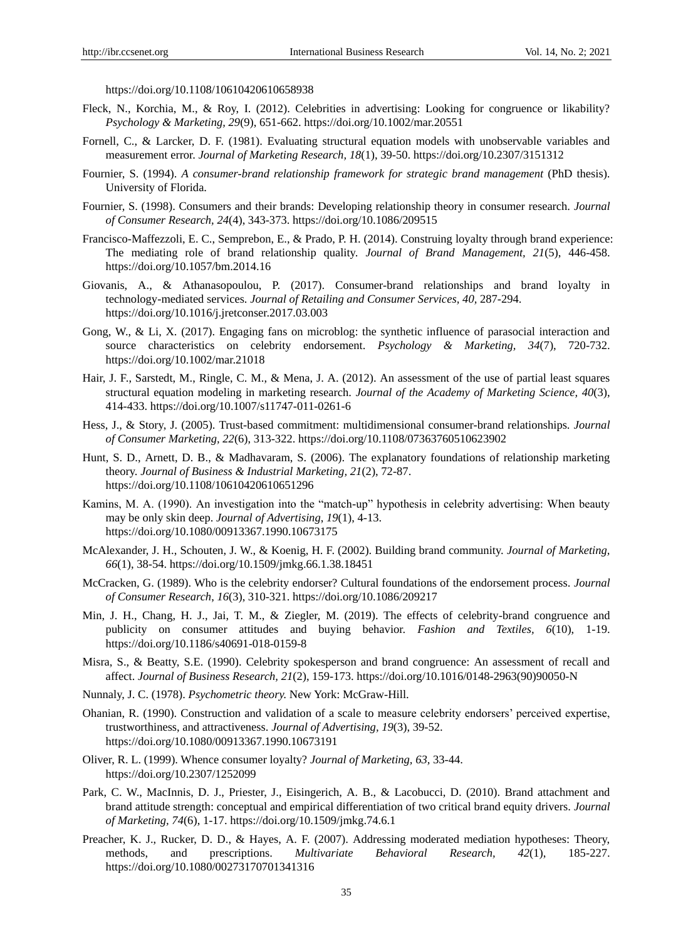<https://doi.org/10.1108/10610420610658938>

- Fleck, N., Korchia, M., & Roy, I. (2012). Celebrities in advertising: Looking for congruence or likability? *Psychology & Marketing, 29*(9), 651-662.<https://doi.org/10.1002/mar.20551>
- Fornell, C., & Larcker, D. F. (1981). Evaluating structural equation models with unobservable variables and measurement error. *Journal of Marketing Research, 18*(1), 39-50[. https://doi.org/10.2307/3151312](https://doi.org/10.2307/3151312)
- Fournier, S. (1994). *A consumer-brand relationship framework for strategic brand management* (PhD thesis). University of Florida.
- Fournier, S. (1998). Consumers and their brands: Developing relationship theory in consumer research. *Journal of Consumer Research, 24*(4), 343-373[. https://doi.org/10.1086/209515](https://doi.org/10.1086/209515)
- Francisco-Maffezzoli, E. C., Semprebon, E., & Prado, P. H. (2014). Construing loyalty through brand experience: The mediating role of brand relationship quality. *Journal of Brand Management, 21*(5), 446-458. <https://doi.org/10.1057/bm.2014.16>
- Giovanis, A., & Athanasopoulou, P. (2017). Consumer-brand relationships and brand loyalty in technology-mediated services. *Journal of Retailing and Consumer Services, 40,* 287-294. <https://doi.org/10.1016/j.jretconser.2017.03.003>
- Gong, W., & Li, X. (2017). Engaging fans on microblog: the synthetic influence of parasocial interaction and source characteristics on celebrity endorsement. *Psychology & Marketing, 34*(7), 720-732. <https://doi.org/10.1002/mar.21018>
- Hair, J. F., Sarstedt, M., Ringle, C. M., & Mena, J. A. (2012). An assessment of the use of partial least squares structural equation modeling in marketing research. *Journal of the Academy of Marketing Science, 40*(3), 414-433.<https://doi.org/10.1007/s11747-011-0261-6>
- Hess, J., & Story, J. (2005). Trust-based commitment: multidimensional consumer-brand relationships. *Journal of Consumer Marketing, 22*(6), 313-322[. https://doi.org/10.1108/07363760510623902](https://doi.org/10.1108/07363760510623902)
- Hunt, S. D., Arnett, D. B., & Madhavaram, S. (2006). The explanatory foundations of relationship marketing theory. *Journal of Business & Industrial Marketing, 21*(2), 72-87. <https://doi.org/10.1108/10610420610651296>
- Kamins, M. A. (1990). An investigation into the "match-up" hypothesis in celebrity advertising: When beauty may be only skin deep. *Journal of Advertising*, *19*(1), 4-13. <https://doi.org/10.1080/00913367.1990.10673175>
- McAlexander, J. H., Schouten, J. W., & Koenig, H. F. (2002). Building brand community. *Journal of Marketing, 66*(1), 38-54. [https://doi.org/10.1509/jmkg.66.1.38.18451](https://doi.org/10.1509%2Fjmkg.66.1.38.18451)
- McCracken, G. (1989). Who is the celebrity endorser? Cultural foundations of the endorsement process. *Journal of Consumer Research*, *16*(3), 310-321[. https://doi.org/10.1086/209217](https://doi.org/10.1086/209217)
- Min, J. H., Chang, H. J., Jai, T. M., & Ziegler, M. (2019). The effects of celebrity-brand congruence and publicity on consumer attitudes and buying behavior. *Fashion and Textiles, 6*(10), 1-19. <https://doi.org/10.1186/s40691-018-0159-8>
- Misra, S., & Beatty, S.E. (1990). Celebrity spokesperson and brand congruence: An assessment of recall and affect. *Journal of Business Research, 21*(2), 159-173[. https://doi.org/10.1016/0148-2963\(90\)90050-N](https://doi.org/10.1016/0148-2963(90)90050-N)
- Nunnaly, J. C. (1978). *Psychometric theory.* New York: McGraw-Hill.
- Ohanian, R. (1990). Construction and validation of a scale to measure celebrity endorsers' perceived expertise, trustworthiness, and attractiveness. *Journal of Advertising, 19*(3), 39-52. <https://doi.org/10.1080/00913367.1990.10673191>
- Oliver, R. L. (1999). Whence consumer loyalty? *Journal of Marketing, 63,* 33-44. <https://doi.org/10.2307/1252099>
- Park, C. W., MacInnis, D. J., Priester, J., Eisingerich, A. B., & Lacobucci, D. (2010). Brand attachment and brand attitude strength: conceptual and empirical differentiation of two critical brand equity drivers. *Journal of Marketing, 74*(6), 1-17.<https://doi.org/10.1509/jmkg.74.6.1>
- Preacher, K. J., Rucker, D. D., & Hayes, A. F. (2007). Addressing moderated mediation hypotheses: Theory, methods, and prescriptions. *Multivariate Behavioral Research, 42*(1), 185-227. <https://doi.org/10.1080/00273170701341316>